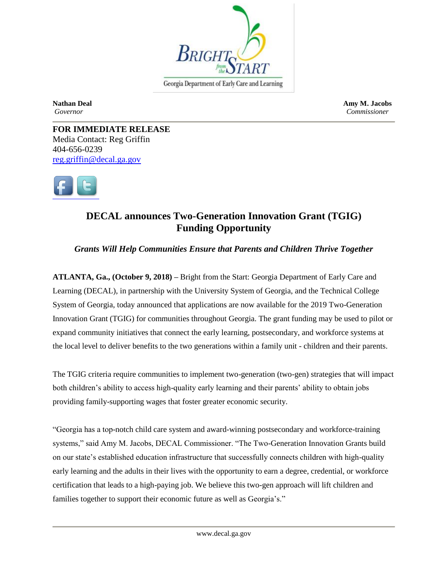

Georgia Department of Early Care and Learning

**Nathan Deal Amy M. Jacobs** *Governor Commissioner*

**FOR IMMEDIATE RELEASE** Media Contact: Reg Griffin 404-656-0239 [reg.griffin@decal.ga.gov](mailto:reg.griffin@decal.ga.gov)



## **DECAL announces Two-Generation Innovation Grant (TGIG) Funding Opportunity**

*Grants Will Help Communities Ensure that Parents and Children Thrive Together*

**ATLANTA, Ga., (October 9, 2018) –** Bright from the Start: Georgia Department of Early Care and Learning (DECAL), in partnership with the University System of Georgia, and the Technical College System of Georgia, today announced that applications are now available for the 2019 Two-Generation Innovation Grant (TGIG) for communities throughout Georgia. The grant funding may be used to pilot or expand community initiatives that connect the early learning, postsecondary, and workforce systems at the local level to deliver benefits to the two generations within a family unit - children and their parents.

The TGIG criteria require communities to implement two-generation (two-gen) strategies that will impact both children's ability to access high-quality early learning and their parents' ability to obtain jobs providing family-supporting wages that foster greater economic security.

"Georgia has a top-notch child care system and award-winning postsecondary and workforce-training systems," said Amy M. Jacobs, DECAL Commissioner. "The Two-Generation Innovation Grants build on our state's established education infrastructure that successfully connects children with high-quality early learning and the adults in their lives with the opportunity to earn a degree, credential, or workforce certification that leads to a high-paying job. We believe this two-gen approach will lift children and families together to support their economic future as well as Georgia's."